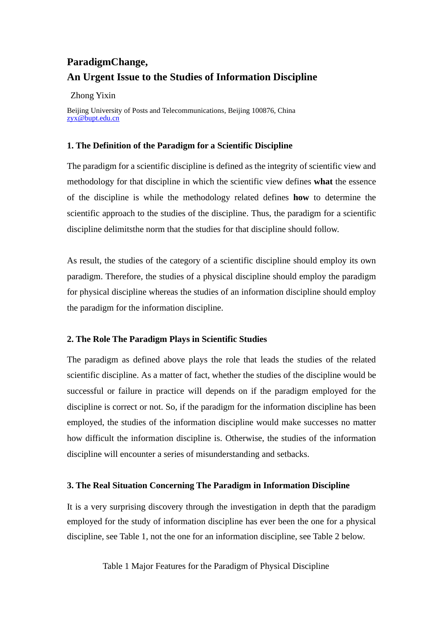# **ParadigmChange, An Urgent Issue to the Studies of Information Discipline**

Zhong Yixin

Beijing University of Posts and Telecommunications, Beijing 100876, China [zyx@bupt.edu.cn](mailto:zyx@bupt.edu.cn)

## **1. The Definition of the Paradigm for a Scientific Discipline**

The paradigm for a scientific discipline is defined as the integrity of scientific view and methodology for that discipline in which the scientific view defines **what** the essence of the discipline is while the methodology related defines **how** to determine the scientific approach to the studies of the discipline. Thus, the paradigm for a scientific discipline delimitsthe norm that the studies for that discipline should follow.

As result, the studies of the category of a scientific discipline should employ its own paradigm. Therefore, the studies of a physical discipline should employ the paradigm for physical discipline whereas the studies of an information discipline should employ the paradigm for the information discipline.

### **2. The Role The Paradigm Plays in Scientific Studies**

The paradigm as defined above plays the role that leads the studies of the related scientific discipline. As a matter of fact, whether the studies of the discipline would be successful or failure in practice will depends on if the paradigm employed for the discipline is correct or not. So, if the paradigm for the information discipline has been employed, the studies of the information discipline would make successes no matter how difficult the information discipline is. Otherwise, the studies of the information discipline will encounter a series of misunderstanding and setbacks.

### **3. The Real Situation Concerning The Paradigm in Information Discipline**

It is a very surprising discovery through the investigation in depth that the paradigm employed for the study of information discipline has ever been the one for a physical discipline, see Table 1, not the one for an information discipline, see Table 2 below.

Table 1 Major Features for the Paradigm of Physical Discipline